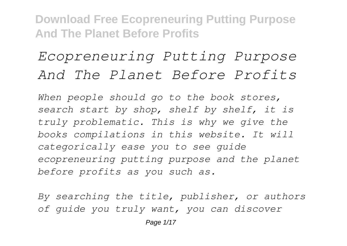# *Ecopreneuring Putting Purpose And The Planet Before Profits*

*When people should go to the book stores, search start by shop, shelf by shelf, it is truly problematic. This is why we give the books compilations in this website. It will categorically ease you to see guide ecopreneuring putting purpose and the planet before profits as you such as.*

*By searching the title, publisher, or authors of guide you truly want, you can discover*

Page 1/17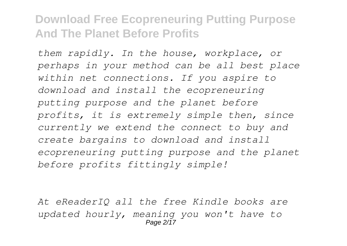*them rapidly. In the house, workplace, or perhaps in your method can be all best place within net connections. If you aspire to download and install the ecopreneuring putting purpose and the planet before profits, it is extremely simple then, since currently we extend the connect to buy and create bargains to download and install ecopreneuring putting purpose and the planet before profits fittingly simple!*

*At eReaderIQ all the free Kindle books are updated hourly, meaning you won't have to* Page  $2/17$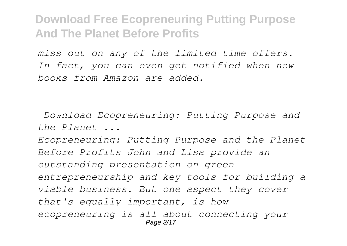*miss out on any of the limited-time offers. In fact, you can even get notified when new books from Amazon are added.*

*Download Ecopreneuring: Putting Purpose and the Planet ...*

*Ecopreneuring: Putting Purpose and the Planet Before Profits John and Lisa provide an outstanding presentation on green entrepreneurship and key tools for building a viable business. But one aspect they cover that's equally important, is how ecopreneuring is all about connecting your* Page 3/17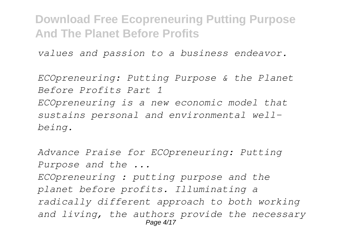*values and passion to a business endeavor.*

*ECOpreneuring: Putting Purpose & the Planet Before Profits Part 1 ECOpreneuring is a new economic model that sustains personal and environmental wellbeing.*

*Advance Praise for ECOpreneuring: Putting Purpose and the ... ECOpreneuring : putting purpose and the planet before profits. Illuminating a radically different approach to both working and living, the authors provide the necessary* Page 4/17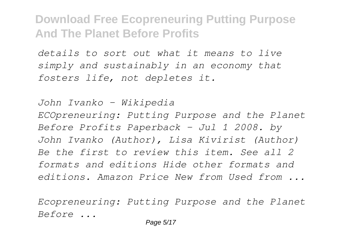*details to sort out what it means to live simply and sustainably in an economy that fosters life, not depletes it.*

*John Ivanko - Wikipedia ECOpreneuring: Putting Purpose and the Planet Before Profits Paperback – Jul 1 2008. by John Ivanko (Author), Lisa Kivirist (Author) Be the first to review this item. See all 2 formats and editions Hide other formats and editions. Amazon Price New from Used from ...*

*Ecopreneuring: Putting Purpose and the Planet Before ...*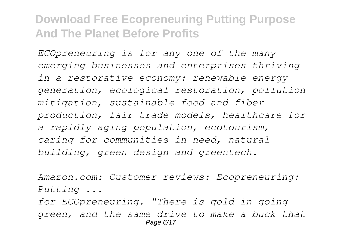*ECOpreneuring is for any one of the many emerging businesses and enterprises thriving in a restorative economy: renewable energy generation, ecological restoration, pollution mitigation, sustainable food and fiber production, fair trade models, healthcare for a rapidly aging population, ecotourism, caring for communities in need, natural building, green design and greentech.*

*Amazon.com: Customer reviews: Ecopreneuring: Putting ...*

*for ECOpreneuring. "There is gold in going green, and the same drive to make a buck that* Page 6/17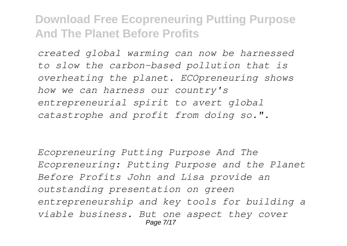*created global warming can now be harnessed to slow the carbon-based pollution that is overheating the planet. ECOpreneuring shows how we can harness our country's entrepreneurial spirit to avert global catastrophe and profit from doing so.".*

*Ecopreneuring Putting Purpose And The Ecopreneuring: Putting Purpose and the Planet Before Profits John and Lisa provide an outstanding presentation on green entrepreneurship and key tools for building a viable business. But one aspect they cover* Page 7/17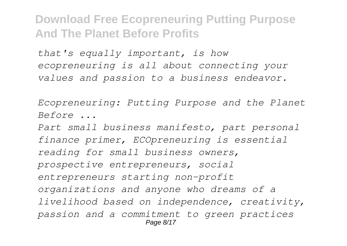*that's equally important, is how ecopreneuring is all about connecting your values and passion to a business endeavor.*

*Ecopreneuring: Putting Purpose and the Planet Before ...*

*Part small business manifesto, part personal finance primer, ECOpreneuring is essential reading for small business owners, prospective entrepreneurs, social entrepreneurs starting non-profit organizations and anyone who dreams of a livelihood based on independence, creativity, passion and a commitment to green practices* Page 8/17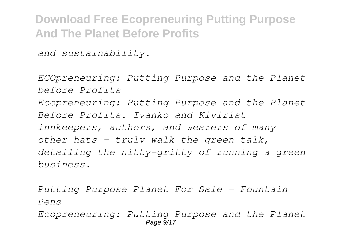*and sustainability.*

*ECOpreneuring: Putting Purpose and the Planet before Profits Ecopreneuring: Putting Purpose and the Planet Before Profits. Ivanko and Kivirist innkeepers, authors, and wearers of many other hats - truly walk the green talk, detailing the nitty-gritty of running a green business.*

*Putting Purpose Planet For Sale - Fountain Pens*

*Ecopreneuring: Putting Purpose and the Planet* Page  $9/17$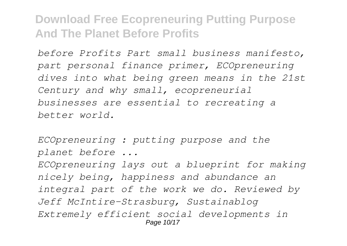*before Profits Part small business manifesto, part personal finance primer, ECOpreneuring dives into what being green means in the 21st Century and why small, ecopreneurial businesses are essential to recreating a better world.*

*ECOpreneuring : putting purpose and the planet before ... ECOpreneuring lays out a blueprint for making nicely being, happiness and abundance an integral part of the work we do. Reviewed by Jeff McIntire-Strasburg, Sustainablog Extremely efficient social developments in* Page 10/17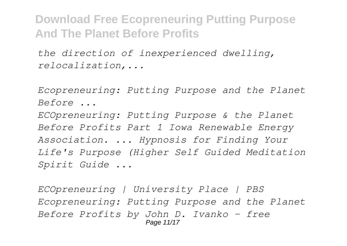*the direction of inexperienced dwelling, relocalization,...*

*Ecopreneuring: Putting Purpose and the Planet Before ...*

*ECOpreneuring: Putting Purpose & the Planet Before Profits Part 1 Iowa Renewable Energy Association. ... Hypnosis for Finding Your Life's Purpose (Higher Self Guided Meditation Spirit Guide ...*

*ECOpreneuring | University Place | PBS Ecopreneuring: Putting Purpose and the Planet Before Profits by John D. Ivanko - free* Page 11/17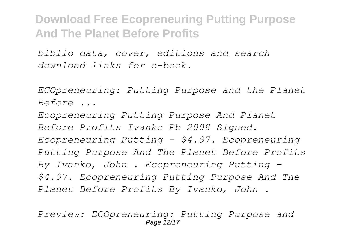*biblio data, cover, editions and search download links for e-book.*

*ECOpreneuring: Putting Purpose and the Planet Before ...*

*Ecopreneuring Putting Purpose And Planet Before Profits Ivanko Pb 2008 Signed. Ecopreneuring Putting - \$4.97. Ecopreneuring Putting Purpose And The Planet Before Profits By Ivanko, John . Ecopreneuring Putting - \$4.97. Ecopreneuring Putting Purpose And The Planet Before Profits By Ivanko, John .*

*Preview: ECOpreneuring: Putting Purpose and* Page 12/17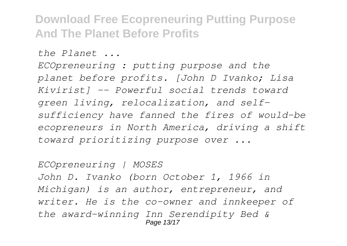*the Planet ...*

*ECOpreneuring : putting purpose and the planet before profits. [John D Ivanko; Lisa Kivirist] -- Powerful social trends toward green living, relocalization, and selfsufficiency have fanned the fires of would-be ecopreneurs in North America, driving a shift toward prioritizing purpose over ...*

*ECOpreneuring | MOSES John D. Ivanko (born October 1, 1966 in Michigan) is an author, entrepreneur, and writer. He is the co-owner and innkeeper of the award-winning Inn Serendipity Bed &* Page 13/17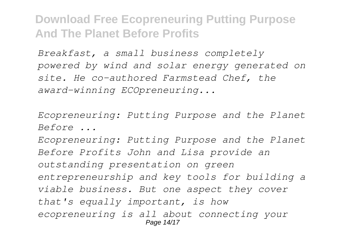*Breakfast, a small business completely powered by wind and solar energy generated on site. He co-authored Farmstead Chef, the award-winning ECOpreneuring...*

*Ecopreneuring: Putting Purpose and the Planet Before ...*

*Ecopreneuring: Putting Purpose and the Planet Before Profits John and Lisa provide an outstanding presentation on green entrepreneurship and key tools for building a viable business. But one aspect they cover that's equally important, is how ecopreneuring is all about connecting your* Page 14/17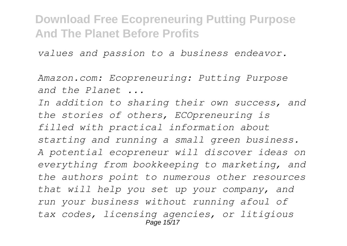*values and passion to a business endeavor.*

*Amazon.com: Ecopreneuring: Putting Purpose and the Planet ...*

*In addition to sharing their own success, and the stories of others, ECOpreneuring is filled with practical information about starting and running a small green business. A potential ecopreneur will discover ideas on everything from bookkeeping to marketing, and the authors point to numerous other resources that will help you set up your company, and run your business without running afoul of tax codes, licensing agencies, or litigious* Page 15/17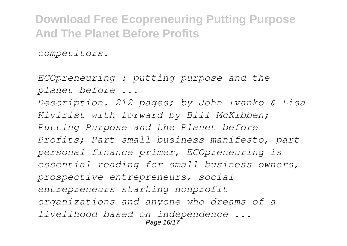*competitors.*

*ECOpreneuring : putting purpose and the planet before ... Description. 212 pages; by John Ivanko & Lisa Kivirist with forward by Bill McKibben; Putting Purpose and the Planet before Profits; Part small business manifesto, part personal finance primer, ECOpreneuring is essential reading for small business owners, prospective entrepreneurs, social entrepreneurs starting nonprofit organizations and anyone who dreams of a livelihood based on independence ...* Page 16/17